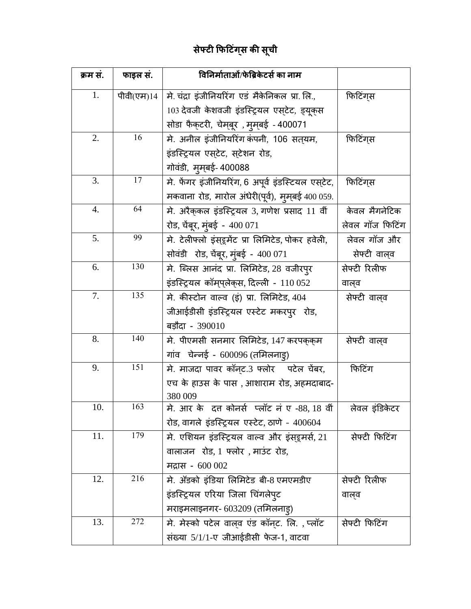## **सेफ्टी फिटटगिं स की सूची**

| क्रम सं.  | फाइल सं.                                                | विनिर्माताओं/फेब्रिकेटर्स का नाम                  |                      |
|-----------|---------------------------------------------------------|---------------------------------------------------|----------------------|
| 1.        | पीवी(एम)14                                              | मे. चंद्रा इंजीनियरिंग एडं मैकेनिकल प्रा. लि.,    | फिटिंग्स             |
|           |                                                         | 103 देवजी केशवजी इंडस्ट्रियल एस्टेट, ड्यूक्स      |                      |
|           |                                                         | सोडा फैक्टरी, चेमबूर , मुमबई - 400071             |                      |
| 2.        | 16                                                      | मे. अनील इंजीनियरिंग कंपनी, 106 सत्यम,            | फिटिंगस              |
|           |                                                         | इंडस्ट्रियल एस्टेट, स्टेशन रोड,                   |                      |
|           |                                                         | गोवंडी, मुम्बई- 400088                            |                      |
| 3.        | 17                                                      | मे. फेंगर इंजीनियरिंग, 6 अपूर्व इंडस्टियल एस्टेट, | फिटिंगस              |
|           |                                                         | मकवाना रोड, मारोल अंधेरी(पूर्व), मुम़बई 400 059.  |                      |
| 4.        | 64<br>मे. अरैकुकल इंडस्ट्रियल 3, गणेश प्रसाद 11 वीं     |                                                   | केवल मैगनेटिक        |
|           |                                                         | रोड, चेंबूर, मुंबई - 400 071                      | लेवल गॉज फिटिंग      |
| 5.        | 99                                                      | मे. टेलीफ्लो इंस्डूमेंट प्रा लिमिटेड, पोकर हवेली, | लेवल गॉज और          |
|           |                                                         | सोवंडी रोड, चेंबूर, मुंबई - 400 071               | सेफ्टी वाल् <b>व</b> |
| 6.        | 130                                                     | मे. ब्लिस आनंद प्रा. लिमिटेड, 28 वजीरपूर          | सेफ्टी रिलीफ         |
|           |                                                         | इंडस्ट्रियल कॉम्प्लेक्स, दिल्ली - 110 052         | वालव                 |
| 7.        | 135                                                     | मे. कीस्टोन वाल्व (इं) प्रा. लिमिटेड, 404         | सेफ्टी वाल् <b>व</b> |
|           |                                                         | जीआईडीसी इंडस्ट्रियल एस्टेट मकरपुर रोड,           |                      |
|           |                                                         | बड़ौदा - 390010                                   |                      |
| 140<br>8. |                                                         | मे. पीएमसी सनमार लिमिटेड, 147 करपककम              | सेफ्टी वाल् <b>व</b> |
|           |                                                         | गांव   चेन्नई  -  600096 (तमिलनाड्)               |                      |
| 9.        | 151<br>मे. माजदा पावर कॉन् <i>ट.3 फ्लोर</i> पटेल चेंबर, |                                                   | फिटिंग               |
|           |                                                         | एच के हाउस के पास , आशाराम रोड, अहमदाबाद-         |                      |
|           | 163                                                     | 380 009                                           |                      |
| 10.       |                                                         | मे. आर के दत्त कोनर्स प्लॉट नं ए -88, 18 वीं      | लेवल इंडिकेटर        |
| 11.       | 179                                                     | रोड, वागले इंडस्ट्रियल एस्टेट, ठाणे - 400604      |                      |
|           |                                                         | मे. एशियन इंडस्ट्रियल वाल्व और इंस्ड्रूमर्स, 21   | सेफ्टी फिटिंग        |
|           |                                                         | वालाजन) रोड, 1 फ्लोर), माउंट रोड,                 |                      |
|           | 216                                                     | मद्रास - 600 002                                  |                      |
| 12.       |                                                         | मे. ॲडको इंडिया लिमिटेड बी-8 एमएमडीए              | सेफ्टी रिलीफ         |
|           |                                                         | इंडस्ट्रियल एरिया जिला चिंगलेपुट                  | वालव                 |
| 13.       | 272                                                     | मराइमलाइनगर- 603209 (तमिलनाड्)                    |                      |
|           |                                                         | मे. मेस्को पटेल वाल्व एंड कॉन्ट. लि. , प्लॉट      | सेफ्टी फिटिंग        |
|           |                                                         | संख्या 5/1/1-ए जीआईडीसी फेज-1, वाटवा              |                      |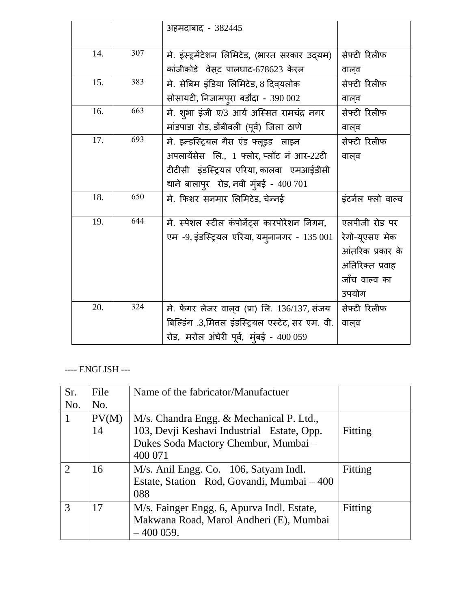|     |     | अहमदाबाद - 382445                                     |                    |
|-----|-----|-------------------------------------------------------|--------------------|
|     |     |                                                       |                    |
| 14. | 307 | मे. इंस्ट्र्मेंटेशन लिमिटेड, (भारत सरकार उदयम)        | सेफ्टी रिलीफ       |
|     |     | कांजीकोडे वेसट पालघाट-678623 केरल                     | वाल्व              |
| 15. | 383 | मे. सेबिम इंडिया लिमिटेड, 8 दिवयलोक                   | सेफ्टी रिलीफ       |
|     |     | सोसायटी, निजामपुरा बड़ौदा - 390 002                   | वाल्व              |
| 16. | 663 | मे. शुभा इंजी ए/3 आर्य अस्सित रामचंद्र नगर            | सेफ्टी रिलीफ       |
|     |     | मांडपाडा रोड, डोंबीवली (पूर्व) जिला ठाणे              | वाल्व              |
| 17. | 693 | मे. इन्डस्ट्रियल गैस एंड फ्लूइड लाइन                  | सेफ्टी रिलीफ       |
|     |     | अपलायेंसेस लि., 1 फ्लोर, प्लॉट नं आर-22टी             | वालव               |
|     |     | टीटीसी इंडस्ट्रियल एरिया, कालवा एमआईडीसी              |                    |
|     |     | थाने बालापुर रोड, नवी मुंबई - $400701$                |                    |
| 18. | 650 | मे. फिशर सनमार लिमिटेड, चेन्नई                        | इंटर्नल फ्लो वाल्व |
| 19. | 644 | मे. स्पेशल स्टील कंपोनेंट्स कारपोरेशन निगम,           | एलपीजी रोड पर      |
|     |     | एम -9, इंडस्ट्रियल एरिया, यम्नानगर - 135 001          | रेगो-यूएसए मेक     |
|     |     |                                                       | आंतरिक प्रकार के   |
|     |     |                                                       | अतिरिक्त प्रवाह    |
|     |     |                                                       | जाँच वाल्व का      |
|     |     |                                                       | उपयोग              |
| 20. | 324 | मे. फेंगर लेजर वाल् <b>व (प्रा) लि. 136/137, संजय</b> | सेफ्टी रिलीफ       |
|     |     | बिल्डिंग .3,मित्तल इंडस्ट्रियल एस्टेट, सर एम. वी.     | वाल्व              |
|     |     | रोड, मरोल अंधेरी पूर्व, मुंबई - 400 059               |                    |

## ---- ENGLISH ---

| Sr.                         | File  | Name of the fabricator/Manufactuer         |         |
|-----------------------------|-------|--------------------------------------------|---------|
| No.                         | No.   |                                            |         |
|                             | PV(M) | M/s. Chandra Engg. & Mechanical P. Ltd.,   |         |
|                             | 14    | 103, Devji Keshavi Industrial Estate, Opp. | Fitting |
|                             |       | Dukes Soda Mactory Chembur, Mumbai -       |         |
|                             |       | 400 071                                    |         |
| $\mathcal{D}_{\mathcal{L}}$ | 16    | M/s. Anil Engg. Co. 106, Satyam Indl.      | Fitting |
|                             |       | Estate, Station Rod, Govandi, Mumbai – 400 |         |
|                             |       | 088                                        |         |
| 3                           | 17    | M/s. Fainger Engg. 6, Apurva Indl. Estate, | Fitting |
|                             |       | Makwana Road, Marol Andheri (E), Mumbai    |         |
|                             |       | $-400059.$                                 |         |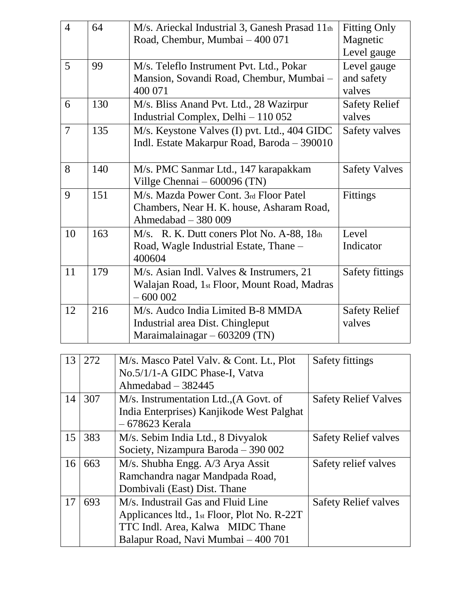| $\overline{4}$ | 64                                                                                                             | M/s. Arieckal Industrial 3, Ganesh Prasad 11th<br>Road, Chembur, Mumbai - 400 071                                                                            |                                             | <b>Fitting Only</b><br>Magnetic<br>Level gauge |
|----------------|----------------------------------------------------------------------------------------------------------------|--------------------------------------------------------------------------------------------------------------------------------------------------------------|---------------------------------------------|------------------------------------------------|
| 5              | 99                                                                                                             | M/s. Teleflo Instrument Pvt. Ltd., Pokar<br>Mansion, Sovandi Road, Chembur, Mumbai -<br>400 071                                                              |                                             | Level gauge<br>and safety<br>valves            |
| 6              | 130                                                                                                            | M/s. Bliss Anand Pvt. Ltd., 28 Wazirpur<br>Industrial Complex, Delhi - 110 052                                                                               |                                             | <b>Safety Relief</b><br>valves                 |
| $\overline{7}$ | 135                                                                                                            | M/s. Keystone Valves (I) pvt. Ltd., 404 GIDC<br>Indl. Estate Makarpur Road, Baroda - 390010                                                                  |                                             | Safety valves                                  |
| 8              | 140                                                                                                            | Villge Chennai - 600096 (TN)                                                                                                                                 | M/s. PMC Sanmar Ltd., 147 karapakkam        |                                                |
| 9              | 151                                                                                                            | M/s. Mazda Power Cont. 3rd Floor Patel<br>Chambers, Near H. K. house, Asharam Road,<br>Ahmedabad - 380 009                                                   |                                             | <b>Fittings</b>                                |
| 10             | 163                                                                                                            | Road, Wagle Industrial Estate, Thane -<br>400604                                                                                                             | M/s. R. K. Dutt coners Plot No. A-88, 18th  |                                                |
| 11             | 179                                                                                                            | M/s. Asian Indl. Valves & Instrumers, 21<br>$-600002$                                                                                                        | Walajan Road, 1st Floor, Mount Road, Madras |                                                |
| 12             | M/s. Audco India Limited B-8 MMDA<br>216<br>Industrial area Dist. Chingleput<br>Maraimalainagar $-603209$ (TN) |                                                                                                                                                              |                                             | <b>Safety Relief</b><br>valves                 |
|                |                                                                                                                |                                                                                                                                                              |                                             |                                                |
| 13             | 272                                                                                                            | M/s. Masco Patel Valv. & Cont. Lt., Plot<br>No.5/1/1-A GIDC Phase-I, Vatva<br>Ahmedabad $-382445$                                                            |                                             | <b>Safety fittings</b>                         |
| 14             | 307<br>M/s. Instrumentation Ltd., (A Govt. of<br>India Enterprises) Kanjikode West Palghat<br>- 678623 Kerala  |                                                                                                                                                              |                                             | <b>Safety Relief Valves</b>                    |
| 15             | 383                                                                                                            | M/s. Sebim India Ltd., 8 Divyalok<br>Society, Nizampura Baroda – 390 002                                                                                     | <b>Safety Relief valves</b>                 |                                                |
| 16             | 663                                                                                                            | M/s. Shubha Engg. A/3 Arya Assit<br>Ramchandra nagar Mandpada Road,<br>Dombivali (East) Dist. Thane                                                          |                                             | Safety relief valves                           |
| 17             | 693                                                                                                            | M/s. Industrail Gas and Fluid Line<br>Applicances ltd., 1st Floor, Plot No. R-22T<br>TTC Indl. Area, Kalwa MIDC Thane<br>Balapur Road, Navi Mumbai - 400 701 |                                             | <b>Safety Relief valves</b>                    |